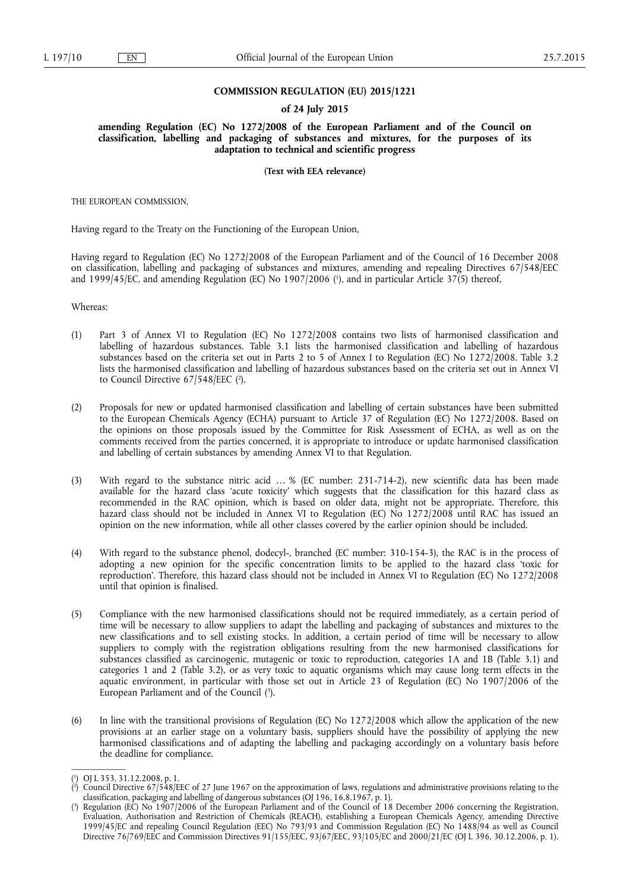#### **COMMISSION REGULATION (EU) 2015/1221**

#### **of 24 July 2015**

**amending Regulation (EC) No 1272/2008 of the European Parliament and of the Council on classification, labelling and packaging of substances and mixtures, for the purposes of its adaptation to technical and scientific progress** 

**(Text with EEA relevance)** 

THE EUROPEAN COMMISSION,

Having regard to the Treaty on the Functioning of the European Union,

Having regard to Regulation (EC) No 1272/2008 of the European Parliament and of the Council of 16 December 2008 on classification, labelling and packaging of substances and mixtures, amending and repealing Directives 67/548/EEC and 1999/45/EC, and amending Regulation (EC) No 1907/2006 ( 1 ), and in particular Article 37(5) thereof,

Whereas:

- (1) Part 3 of Annex VI to Regulation (EC) No 1272/2008 contains two lists of harmonised classification and labelling of hazardous substances. Table 3.1 lists the harmonised classification and labelling of hazardous substances based on the criteria set out in Parts 2 to 5 of Annex I to Regulation (EC) No 1272/2008. Table 3.2 lists the harmonised classification and labelling of hazardous substances based on the criteria set out in Annex VI to Council Directive 67/548/EEC (<sup>2</sup>).
- (2) Proposals for new or updated harmonised classification and labelling of certain substances have been submitted to the European Chemicals Agency (ECHA) pursuant to Article 37 of Regulation (EC) No 1272/2008. Based on the opinions on those proposals issued by the Committee for Risk Assessment of ECHA, as well as on the comments received from the parties concerned, it is appropriate to introduce or update harmonised classification and labelling of certain substances by amending Annex VI to that Regulation.
- (3) With regard to the substance nitric acid … % (EC number: 231-714-2), new scientific data has been made available for the hazard class 'acute toxicity' which suggests that the classification for this hazard class as recommended in the RAC opinion, which is based on older data, might not be appropriate. Therefore, this hazard class should not be included in Annex VI to Regulation (EC) No 1272/2008 until RAC has issued an opinion on the new information, while all other classes covered by the earlier opinion should be included.
- (4) With regard to the substance phenol, dodecyl-, branched (EC number: 310-154-3), the RAC is in the process of adopting a new opinion for the specific concentration limits to be applied to the hazard class 'toxic for reproduction'. Therefore, this hazard class should not be included in Annex VI to Regulation (EC) No 1272/2008 until that opinion is finalised.
- (5) Compliance with the new harmonised classifications should not be required immediately, as a certain period of time will be necessary to allow suppliers to adapt the labelling and packaging of substances and mixtures to the new classifications and to sell existing stocks. In addition, a certain period of time will be necessary to allow suppliers to comply with the registration obligations resulting from the new harmonised classifications for substances classified as carcinogenic, mutagenic or toxic to reproduction, categories 1A and 1B (Table 3.1) and categories 1 and 2 (Table 3.2), or as very toxic to aquatic organisms which may cause long term effects in the aquatic environment, in particular with those set out in Article 23 of Regulation (EC) No 1907/2006 of the European Parliament and of the Council (3).
- (6) In line with the transitional provisions of Regulation (EC) No 1272/2008 which allow the application of the new provisions at an earlier stage on a voluntary basis, suppliers should have the possibility of applying the new harmonised classifications and of adapting the labelling and packaging accordingly on a voluntary basis before the deadline for compliance.

<sup>(</sup> 1 ) OJ L 353, 31.12.2008, p. 1.

<sup>(</sup> 2 ) Council Directive 67/548/EEC of 27 June 1967 on the approximation of laws, regulations and administrative provisions relating to the classification, packaging and labelling of dangerous substances (OJ 196, 16.8.1967, p. 1).

<sup>(</sup> 3 ) Regulation (EC) No 1907/2006 of the European Parliament and of the Council of 18 December 2006 concerning the Registration, Evaluation, Authorisation and Restriction of Chemicals (REACH), establishing a European Chemicals Agency, amending Directive 1999/45/EC and repealing Council Regulation (EEC) No 793/93 and Commission Regulation (EC) No 1488/94 as well as Council Directive 76/769/EEC and Commission Directives 91/155/EEC, 93/67/EEC, 93/105/EC and 2000/21/EC (OJ L 396, 30.12.2006, p. 1).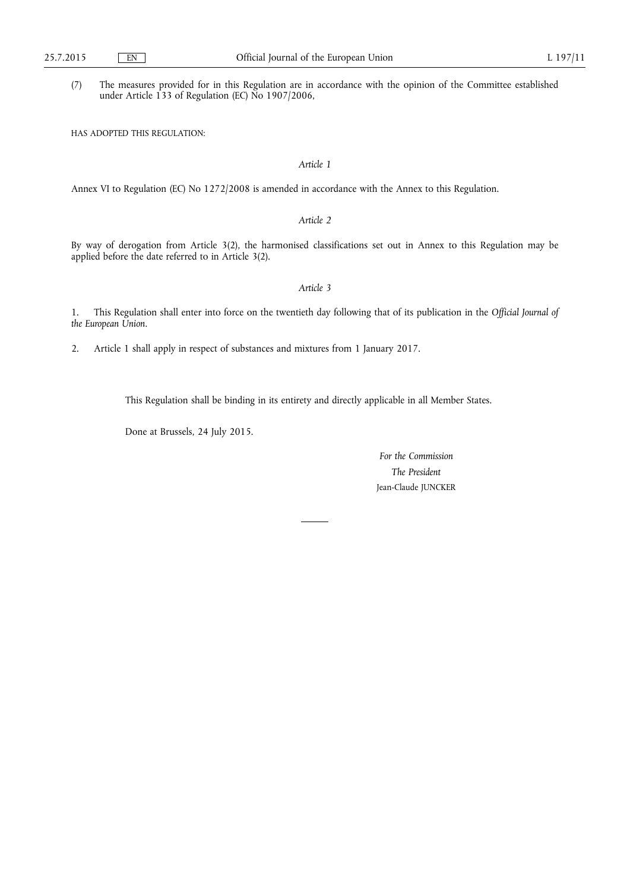(7) The measures provided for in this Regulation are in accordance with the opinion of the Committee established under Article 133 of Regulation (EC) No 1907/2006,

HAS ADOPTED THIS REGULATION:

## *Article 1*

Annex VI to Regulation (EC) No 1272/2008 is amended in accordance with the Annex to this Regulation.

## *Article 2*

By way of derogation from Article 3(2), the harmonised classifications set out in Annex to this Regulation may be applied before the date referred to in Article 3(2).

#### *Article 3*

1. This Regulation shall enter into force on the twentieth day following that of its publication in the *Official Journal of the European Union*.

2. Article 1 shall apply in respect of substances and mixtures from 1 January 2017.

This Regulation shall be binding in its entirety and directly applicable in all Member States.

Done at Brussels, 24 July 2015.

*For the Commission The President*  Jean-Claude JUNCKER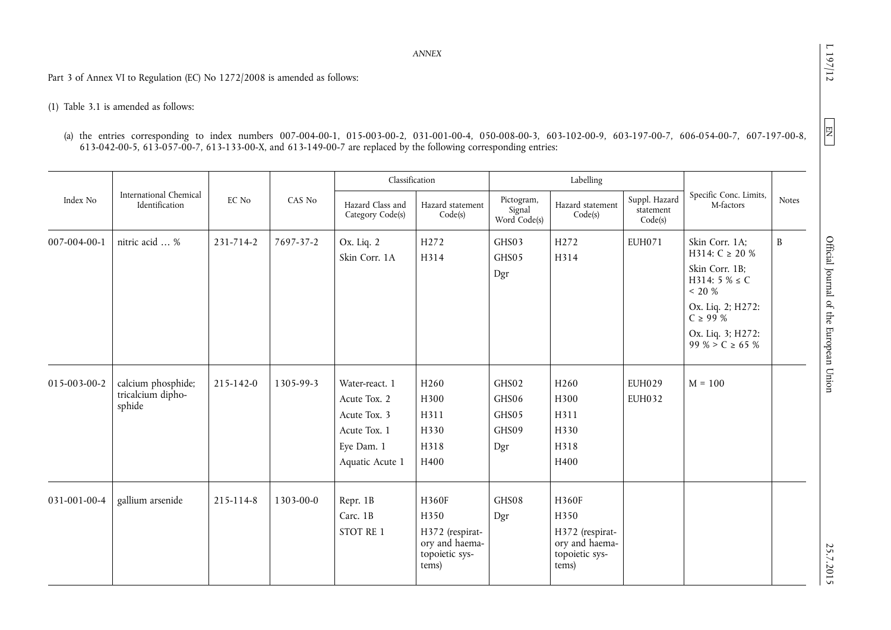$L$  197/12

 $EN$ 

*ANNEX* 

Part 3 of Annex VI to Regulation (EC) No 1272/2008 is amended as follows:

# (1) Table 3.1 is amended as follows:

| (a) the entries corresponding to index numbers 007-004-00-1, 015-003-00-2, 031-001-00-4, 050-008-00-3, 603-102-00-9, 603-197-00-7, 606-054-00-7, 607-197-00-8, |  |  |  |  |
|----------------------------------------------------------------------------------------------------------------------------------------------------------------|--|--|--|--|
| 613-042-00-5, 613-057-00-7, 613-133-00-X, and 613-149-00-7 are replaced by the following corresponding entries:                                                |  |  |  |  |

|              |                                                   |           |           | Classification                                                                                  |                                                                               |                                         | Labelling                                                                     |                                       |                                                                                                                                                                              |              |
|--------------|---------------------------------------------------|-----------|-----------|-------------------------------------------------------------------------------------------------|-------------------------------------------------------------------------------|-----------------------------------------|-------------------------------------------------------------------------------|---------------------------------------|------------------------------------------------------------------------------------------------------------------------------------------------------------------------------|--------------|
| Index No     | International Chemical<br>Identification          | EC No     | CAS No    | Hazard Class and<br>Category Code(s)                                                            | Hazard statement<br>Code(s)                                                   | Pictogram,<br>Signal<br>Word Code(s)    | Hazard statement<br>Code(s)                                                   | Suppl. Hazard<br>statement<br>Code(s) | Specific Conc. Limits,<br>M-factors                                                                                                                                          | <b>Notes</b> |
| 007-004-00-1 | nitric acid  %                                    | 231-714-2 | 7697-37-2 | Ox. Liq. 2<br>Skin Corr. 1A                                                                     | H <sub>272</sub><br>H314                                                      | GHS03<br>GHS05<br>Dgr                   | H <sub>272</sub><br>H314                                                      | <b>EUH071</b>                         | Skin Corr. 1A;<br>H314: $C \ge 20 \%$<br>Skin Corr. 1B;<br>$H314: 5 % \le C$<br>$<$ 20 $\%$<br>Ox. Liq. 2; H272:<br>$C \ge 99\%$<br>Ox. Liq. 3; H272:<br>99 % > $C \ge 65$ % | $\mathbf{B}$ |
| 015-003-00-2 | calcium phosphide;<br>tricalcium dipho-<br>sphide | 215-142-0 | 1305-99-3 | Water-react. 1<br>Acute Tox. 2<br>Acute Tox. 3<br>Acute Tox. 1<br>Eye Dam. 1<br>Aquatic Acute 1 | H <sub>260</sub><br>H300<br>H311<br>H330<br>H318<br>H400                      | GHS02<br>GHS06<br>GHS05<br>GHS09<br>Dgr | H <sub>260</sub><br>H300<br>H311<br>H330<br>H318<br>H400                      | <b>EUH029</b><br><b>EUH032</b>        | $M = 100$                                                                                                                                                                    |              |
| 031-001-00-4 | gallium arsenide                                  | 215-114-8 | 1303-00-0 | Repr. 1B<br>Carc. 1B<br>STOT RE 1                                                               | H360F<br>H350<br>H372 (respirat-<br>ory and haema-<br>topoietic sys-<br>tems) | GHS08<br>Dgr                            | H360F<br>H350<br>H372 (respirat-<br>ory and haema-<br>topoietic sys-<br>tems) |                                       |                                                                                                                                                                              |              |

 $25.7.2017$  D  $25.7.2017$  D  $25.7.2017$  and  $25.7.2017$  D  $25.7.2017$  D  $25.7.2017$ Official Journal of the European Union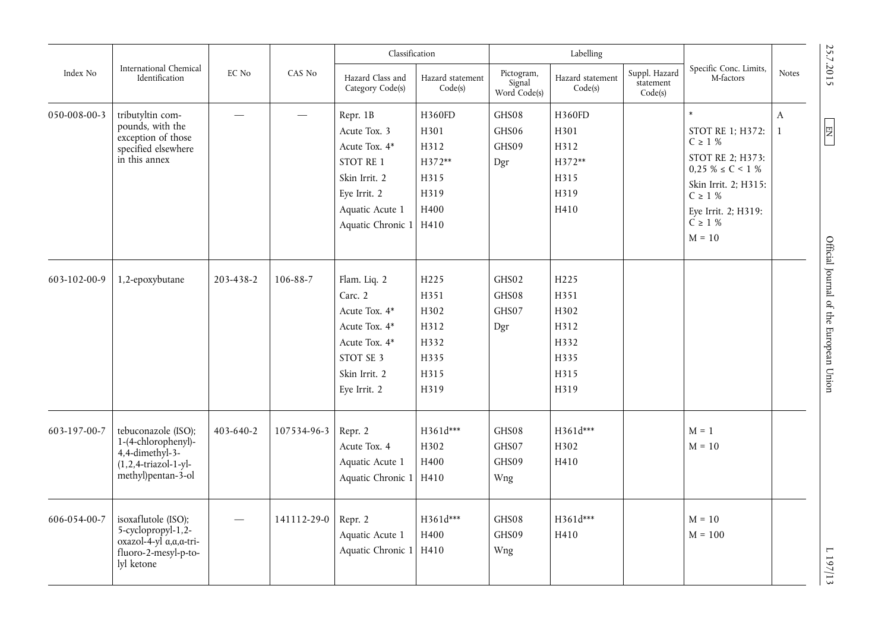|              |                                                                                                                         |                 |             | Classification                                                                                                                  |                                                                  |                                      | Labelling                                                    |                                       |                                                                                                                                                                                     |                              |                                        |
|--------------|-------------------------------------------------------------------------------------------------------------------------|-----------------|-------------|---------------------------------------------------------------------------------------------------------------------------------|------------------------------------------------------------------|--------------------------------------|--------------------------------------------------------------|---------------------------------------|-------------------------------------------------------------------------------------------------------------------------------------------------------------------------------------|------------------------------|----------------------------------------|
| Index No     | International Chemical<br>Identification                                                                                | EC No           | CAS No      | Hazard Class and<br>Category Code(s)                                                                                            | Hazard statement<br>Code(s)                                      | Pictogram,<br>Signal<br>Word Code(s) | Hazard statement<br>Code(s)                                  | Suppl. Hazard<br>statement<br>Code(s) | Specific Conc. Limits,<br>M-factors                                                                                                                                                 | <b>Notes</b>                 | 25.7.2015                              |
| 050-008-00-3 | tributyltin com-<br>pounds, with the<br>exception of those<br>specified elsewhere<br>in this annex                      |                 |             | Repr. 1B<br>Acute Tox. 3<br>Acute Tox. 4*<br>STOT RE 1<br>Skin Irrit. 2<br>Eye Irrit. 2<br>Aquatic Acute 1<br>Aquatic Chronic 1 | H360FD<br>H301<br>H312<br>H372**<br>H315<br>H319<br>H400<br>H410 | GHS08<br>GHS06<br>GHS09<br>Dgr       | H360FD<br>H301<br>H312<br>H372**<br>H315<br>H319<br>H410     |                                       | $\ast$<br>STOT RE 1; H372:<br>$C \geq 1 %$<br>STOT RE 2; H373:<br>$0.25 \% \le C < 1 \%$<br>Skin Irrit. 2; H315:<br>$C \geq 1$ %<br>Eye Irrit. 2; H319:<br>$C \geq 1$ %<br>$M = 10$ | $\mathbf{A}$<br>$\mathbf{1}$ | $\sqrt{\frac{E}{2}}$                   |
| 603-102-00-9 | 1,2-epoxybutane                                                                                                         | 203-438-2       | 106-88-7    | Flam. Liq. 2<br>Carc. 2<br>Acute Tox. 4*<br>Acute Tox. 4*<br>Acute Tox. 4*<br>STOT SE 3<br>Skin Irrit. 2<br>Eye Irrit. 2        | H225<br>H351<br>H302<br>H312<br>H332<br>H335<br>H315<br>H319     | GHS02<br>GHS08<br>GHS07<br>Dgr       | H225<br>H351<br>H302<br>H312<br>H332<br>H335<br>H315<br>H319 |                                       |                                                                                                                                                                                     |                              | Official Journal of the European Union |
| 603-197-00-7 | tebuconazole (ISO);<br>1-(4-chlorophenyl)-<br>4,4-dimethyl-3-<br>$(1,2,4-triazol-1-yl-$<br>methyl)pentan-3-ol           | $403 - 640 - 2$ | 107534-96-3 | Repr. 2<br>Acute Tox. 4<br>Aquatic Acute 1<br>Aquatic Chronic 1                                                                 | H361d***<br>H302<br>H400<br>H410                                 | GHS08<br>GHS07<br>GHS09<br>Wng       | H361d***<br>H302<br>H410                                     |                                       | $M = 1$<br>$M = 10$                                                                                                                                                                 |                              |                                        |
| 606-054-00-7 | isoxaflutole (ISO);<br>5-cyclopropyl-1,2-<br>$oxazol-4-yl$ $\alpha, \alpha$ -tri-<br>fluoro-2-mesyl-p-to-<br>lyl ketone |                 | 141112-29-0 | Repr. 2<br>Aquatic Acute 1<br>Aquatic Chronic 1                                                                                 | H361d***<br>H400<br>H410                                         | GHS08<br>GHS09<br>Wng                | H361d***<br>H410                                             |                                       | $M = 10$<br>$M = 100$                                                                                                                                                               |                              | E 197/13                               |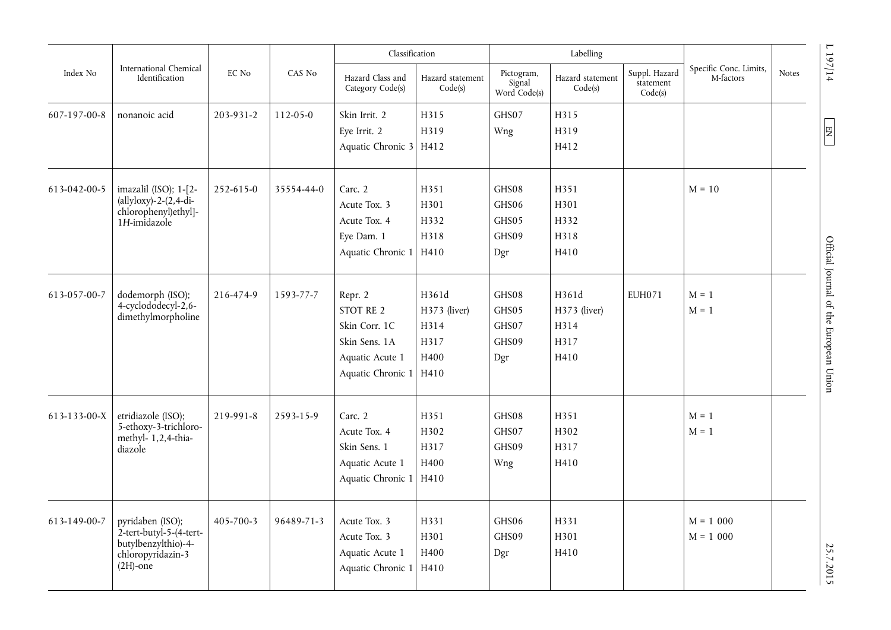|              |                                                                                                               |           |            | Classification                                                                                 |                                                       |                                         | Labelling                                     |                                       |                                     |       |                                        |
|--------------|---------------------------------------------------------------------------------------------------------------|-----------|------------|------------------------------------------------------------------------------------------------|-------------------------------------------------------|-----------------------------------------|-----------------------------------------------|---------------------------------------|-------------------------------------|-------|----------------------------------------|
| Index No     | International Chemical<br>Identification                                                                      | EC No     | CAS No     | Hazard Class and<br>Category Code(s)                                                           | Hazard statement<br>Code(s)                           | Pictogram,<br>Signal<br>Word Code(s)    | Hazard statement<br>Code(s)                   | Suppl. Hazard<br>statement<br>Code(s) | Specific Conc. Limits,<br>M-factors | Notes | 197/14                                 |
| 607-197-00-8 | nonanoic acid                                                                                                 | 203-931-2 | 112-05-0   | Skin Irrit. 2<br>Eye Irrit. 2<br>Aquatic Chronic 3 H412                                        | H315<br>H319                                          | GHS07<br>Wng                            | H315<br>H319<br>H412                          |                                       |                                     |       | 目                                      |
| 613-042-00-5 | imazalil (ISO); 1-[2-<br>$\text{(allyloxy)}-2-(2,4-\text{di}-$<br>chlorophenyl)ethyl]-<br>1H-imidazole        | 252-615-0 | 35554-44-0 | Carc. 2<br>Acute Tox. 3<br>Acute Tox. 4<br>Eye Dam. 1<br>Aquatic Chronic 1                     | H351<br>H301<br>H332<br>H318<br>H410                  | GHS08<br>GHS06<br>GHS05<br>GHS09<br>Dgr | H351<br>H301<br>H332<br>H318<br>H410          |                                       | $M = 10$                            |       |                                        |
| 613-057-00-7 | dodemorph (ISO);<br>4-cyclododecyl-2,6-<br>dimethylmorpholine                                                 | 216-474-9 | 1593-77-7  | Repr. 2<br>STOT RE 2<br>Skin Corr. 1C<br>Skin Sens. 1A<br>Aquatic Acute 1<br>Aquatic Chronic 1 | H361d<br>H373 (liver)<br>H314<br>H317<br>H400<br>H410 | GHS08<br>GHS05<br>GHS07<br>GHS09<br>Dgr | H361d<br>H373 (liver)<br>H314<br>H317<br>H410 | <b>EUH071</b>                         | $M = 1$<br>$M = 1$                  |       | Official Journal of the European Union |
| 613-133-00-X | etridiazole (ISO);<br>5-ethoxy-3-trichloro-<br>methyl- 1,2,4-thia-<br>diazole                                 | 219-991-8 | 2593-15-9  | Carc. 2<br>Acute Tox. 4<br>Skin Sens. 1<br>Aquatic Acute 1<br>Aquatic Chronic 1                | H351<br>H302<br>H317<br>H400<br>H410                  | GHS08<br>GHS07<br>GHS09<br>Wng          | H351<br>H302<br>H317<br>H410                  |                                       | $M = 1$<br>$M = 1$                  |       |                                        |
| 613-149-00-7 | pyridaben (ISO);<br>$2$ -tert-butyl-5- $(4$ -tert-<br>butylbenzylthio)-4-<br>chloropyridazin-3<br>$(2H)$ -one | 405-700-3 | 96489-71-3 | Acute Tox. 3<br>Acute Tox. 3<br>Aquatic Acute 1<br>Aquatic Chronic 1                           | H331<br>H301<br>H400<br>H410                          | GHS06<br>GHS09<br>Dgr                   | H331<br>H301<br>H410                          |                                       | $M = 1000$<br>$M = 1000$            |       | 25.7.2015                              |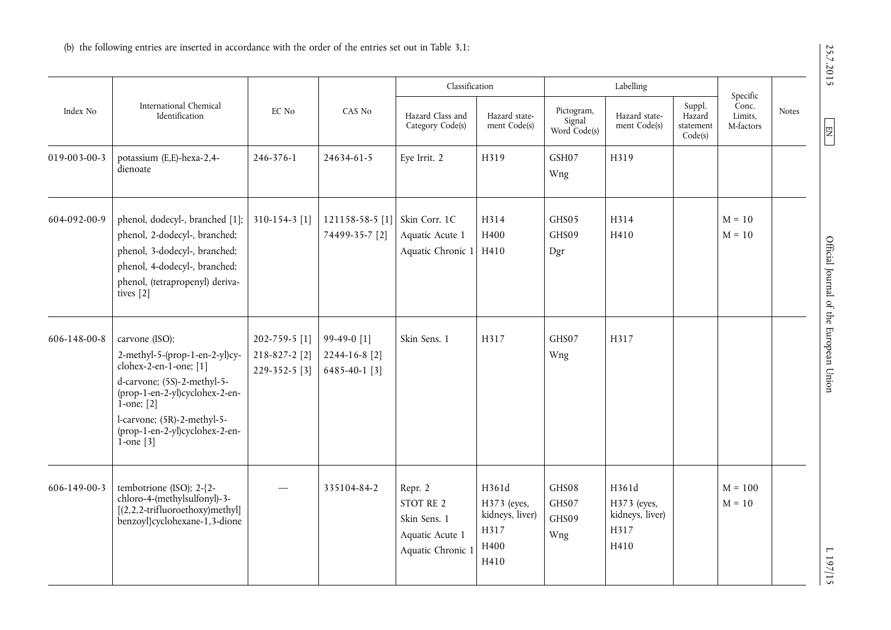|                      |                                                                                                                                                                                                                                                     |                                                 |                                               | Classification                                                               |                                                                 |                                      | Labelling                                               |                                          |                                           |              |
|----------------------|-----------------------------------------------------------------------------------------------------------------------------------------------------------------------------------------------------------------------------------------------------|-------------------------------------------------|-----------------------------------------------|------------------------------------------------------------------------------|-----------------------------------------------------------------|--------------------------------------|---------------------------------------------------------|------------------------------------------|-------------------------------------------|--------------|
| Index No             | International Chemical<br>Identification                                                                                                                                                                                                            | EC No                                           | CAS No                                        | Hazard Class and<br>Category Code(s)                                         | Hazard state-<br>ment Code(s)                                   | Pictogram,<br>Signal<br>Word Code(s) | Hazard state-<br>ment Code(s)                           | Suppl.<br>Hazard<br>statement<br>Code(s) | Specific<br>Conc.<br>Limits.<br>M-factors | <b>Notes</b> |
| 019-003-00-3         | potassium (E,E)-hexa-2,4-<br>dienoate                                                                                                                                                                                                               | 246-376-1                                       | 24634-61-5                                    | Eye Irrit. 2                                                                 | H319                                                            | GSH07<br>Wng                         | H319                                                    |                                          |                                           |              |
| 604-092-00-9         | phenol, dodecyl-, branched [1];<br>phenol, 2-dodecyl-, branched;<br>phenol, 3-dodecyl-, branched;<br>phenol, 4-dodecyl-, branched;<br>phenol, (tetrapropenyl) deriva-<br>tives [2]                                                                  | 310-154-3 [1]                                   | 121158-58-5 [1]<br>74499-35-7 [2]             | Skin Corr. 1C<br>Aquatic Acute 1<br>Aquatic Chronic 1 H410                   | H314<br>H400                                                    | GHS05<br>GHS09<br>Dgr                | H314<br>H410                                            |                                          | $M = 10$<br>$M = 10$                      |              |
| 606-148-00-8         | carvone (ISO);<br>2-methyl-5-(prop-1-en-2-yl)cy-<br>clohex-2-en-1-one; $[1]$<br>d-carvone; (5S)-2-methyl-5-<br>(prop-1-en-2-yl)cyclohex-2-en-<br>$1$ -one; $[2]$<br>l-carvone; (5R)-2-methyl-5-<br>(prop-1-en-2-yl)cyclohex-2-en-<br>$1$ -one $[3]$ | 202-759-5 [1]<br>218-827-2 [2]<br>229-352-5 [3] | 99-49-0 [1]<br>2244-16-8 [2]<br>6485-40-1 [3] | Skin Sens. 1                                                                 | H317                                                            | GHS07<br>Wng                         | H317                                                    |                                          |                                           |              |
| $606 - 149 - 00 - 3$ | tembotrione (ISO); 2-{2-<br>chloro-4-(methylsulfonyl)-3-<br>$[(2,2,2-trifluoroethoxy)$ methyl]<br>benzoyl}cyclohexane-1,3-dione                                                                                                                     |                                                 | 335104-84-2                                   | Repr. 2<br>STOT RE 2<br>Skin Sens. 1<br>Aquatic Acute 1<br>Aquatic Chronic 1 | H361d<br>H373 (eyes,<br>kidneys, liver)<br>H317<br>H400<br>H410 | GHS08<br>GHS07<br>GHS09<br>Wng       | H361d<br>H373 (eyes,<br>kidneys, liver)<br>H317<br>H410 |                                          | $M = 100$<br>$M = 10$                     |              |

25.7.2015

 $E$ 

 $1197/15$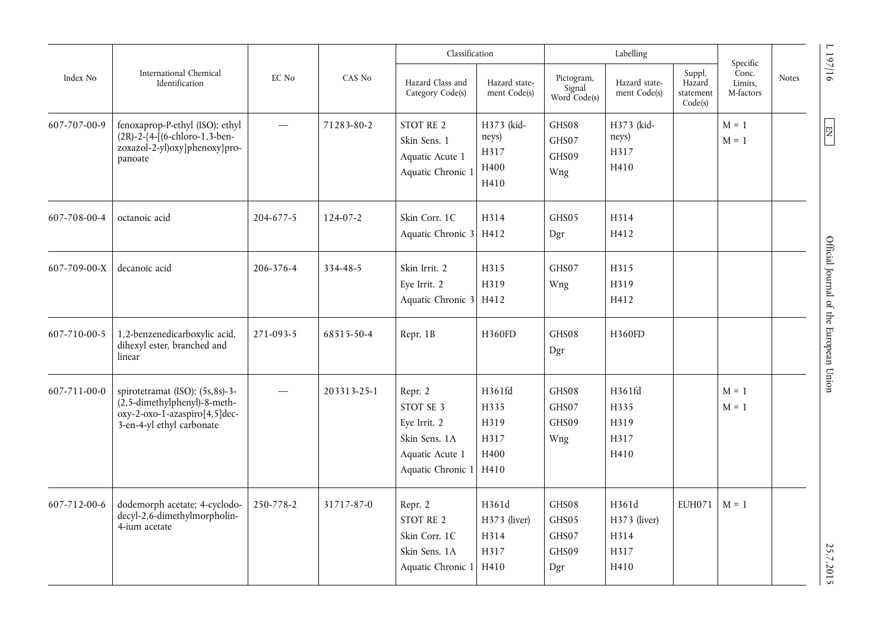|              |                                                                                                                                                          |                          |             | Classification                                                                                     |                                             |                                         | Labelling                                     |                                          |                                           |              |                                                           |
|--------------|----------------------------------------------------------------------------------------------------------------------------------------------------------|--------------------------|-------------|----------------------------------------------------------------------------------------------------|---------------------------------------------|-----------------------------------------|-----------------------------------------------|------------------------------------------|-------------------------------------------|--------------|-----------------------------------------------------------|
| Index No     | International Chemical<br>Identification                                                                                                                 | EC No                    | CAS No      | Hazard Class and<br>Category Code(s)                                                               | Hazard state-<br>ment Code(s)               | Pictogram,<br>Signal<br>Word Code(s)    | Hazard state-<br>ment Code(s)                 | Suppl.<br>Hazard<br>statement<br>Code(s) | Specific<br>Conc.<br>Limits,<br>M-factors | <b>Notes</b> | 1197/16                                                   |
| 607-707-00-9 | fenoxaprop-P-ethyl (ISO); ethyl<br>$(2R) - 2 - \{4 - \left[ (6 - \text{chloro-1}, 3 - \text{ben-1}) \right]$<br>zoxazol-2-yl)oxy]phenoxy}pro-<br>panoate | $\overline{\phantom{0}}$ | 71283-80-2  | STOT RE 2<br>Skin Sens. 1<br>Aquatic Acute 1<br>Aquatic Chronic 1                                  | H373 (kid-<br>neys)<br>H317<br>H400<br>H410 | GHS08<br>GHS07<br>GHS09<br>Wng          | H373 (kid-<br>neys)<br>H317<br>H410           |                                          | $M = 1$<br>$M = 1$                        |              | $\begin{array}{c} \n \text{I} \n \text{I} \n \end{array}$ |
| 607-708-00-4 | octanoic acid                                                                                                                                            | 204-677-5                | 124-07-2    | Skin Corr. 1C<br>Aquatic Chronic 3 H412                                                            | H314                                        | GHS05<br>Dgr                            | H314<br>H412                                  |                                          |                                           |              |                                                           |
| 607-709-00-X | decanoic acid                                                                                                                                            | 206-376-4                | 334-48-5    | Skin Irrit. 2<br>Eye Irrit. 2<br>Aquatic Chronic 3                                                 | H315<br>H319<br>H412                        | GHS07<br>Wng                            | H315<br>H319<br>H412                          |                                          |                                           |              | Official Journal of the European Union                    |
| 607-710-00-5 | 1,2-benzenedicarboxylic acid,<br>dihexyl ester, branched and<br>linear                                                                                   | 271-093-5                | 68515-50-4  | Repr. 1B                                                                                           | H360FD                                      | GHS08<br>Dgr                            | H360FD                                        |                                          |                                           |              |                                                           |
| 607-711-00-0 | spirotetramat (ISO); (5s,8s)-3-<br>$(2, 5$ -dimethylphenyl)-8-meth-<br>oxy-2-oxo-1-azaspiro[4,5]dec-<br>3-en-4-yl ethyl carbonate                        |                          | 203313-25-1 | Repr. 2<br>STOT SE 3<br>Eye Irrit. 2<br>Skin Sens. 1A<br>Aquatic Acute 1<br>Aquatic Chronic 1 H410 | H361fd<br>H335<br>H319<br>H317<br>H400      | GHS08<br>GHS07<br>GHS09<br>Wng          | H361fd<br>H335<br>H319<br>H317<br>H410        |                                          | $M = 1$<br>$M = 1$                        |              |                                                           |
| 607-712-00-6 | dodemorph acetate; 4-cyclodo-<br>decyl-2,6-dimethylmorpholin-<br>4-ium acetate                                                                           | 250-778-2                | 31717-87-0  | Repr. 2<br>STOT RE 2<br>Skin Corr. 1C<br>Skin Sens. 1A<br>Aquatic Chronic 1 H410                   | H361d<br>H373 (liver)<br>H314<br>H317       | GHS08<br>GHS05<br>GHS07<br>GHS09<br>Dgr | H361d<br>H373 (liver)<br>H314<br>H317<br>H410 | <b>EUH071</b>                            | $M = 1$                                   |              | 25.7.2015                                                 |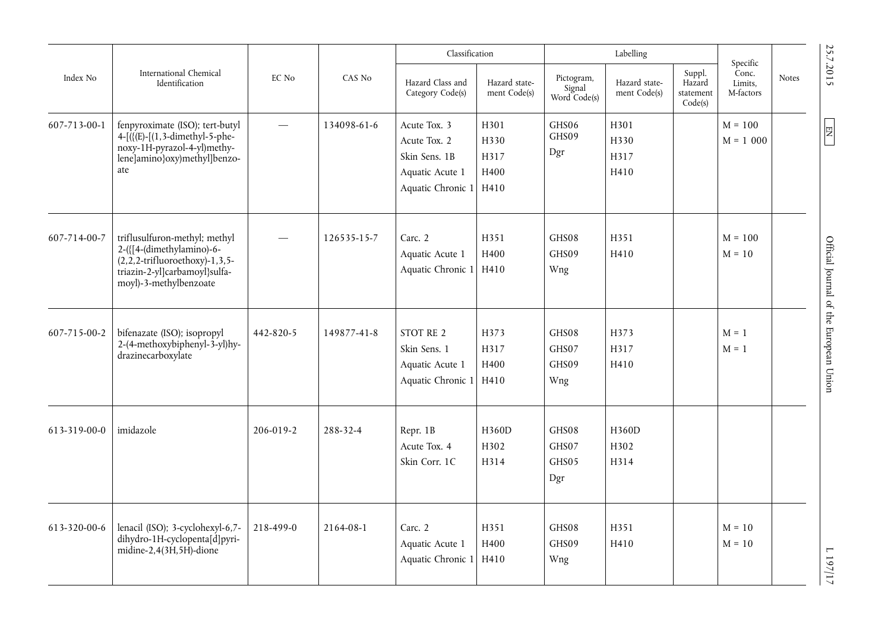|              |                                                                                                                                                               |                          |             | Classification                                                                        |                                      |                                      | Labelling                     |                                          | Specific                      |                                        |
|--------------|---------------------------------------------------------------------------------------------------------------------------------------------------------------|--------------------------|-------------|---------------------------------------------------------------------------------------|--------------------------------------|--------------------------------------|-------------------------------|------------------------------------------|-------------------------------|----------------------------------------|
| Index No     | International Chemical<br>Identification                                                                                                                      | EC No                    | CAS No      | Hazard Class and<br>Category Code(s)                                                  | Hazard state-<br>ment Code(s)        | Pictogram,<br>Signal<br>Word Code(s) | Hazard state-<br>ment Code(s) | Suppl.<br>Hazard<br>statement<br>Code(s) | Conc.<br>Limits,<br>M-factors | 25.7.2015<br><b>Notes</b>              |
| 607-713-00-1 | fenpyroximate (ISO); tert-butyl<br>$4 - [([(E) - [(1, 3 - dimethyl-5 - phe-$<br>noxy-1H-pyrazol-4-yl)methy-<br>lene]amino}oxy)methyl]benzo-<br>ate            | $\overline{\phantom{0}}$ | 134098-61-6 | Acute Tox. 3<br>Acute Tox. 2<br>Skin Sens. 1B<br>Aquatic Acute 1<br>Aquatic Chronic 1 | H301<br>H330<br>H317<br>H400<br>H410 | GHS06<br>GHS09<br>Dgr                | H301<br>H330<br>H317<br>H410  |                                          | $M = 100$<br>$M = 1000$       | $\boxed{\mathbb{E}}$                   |
| 607-714-00-7 | triflusulfuron-methyl; methyl<br>2-({[4-(dimethylamino)-6-<br>$(2, 2, 2-trifluoroethoxy)-1, 3, 5-$<br>triazin-2-yl]carbamoyl}sulfa-<br>moyl)-3-methylbenzoate |                          | 126535-15-7 | Carc. 2<br>Aquatic Acute 1<br>Aquatic Chronic 1                                       | H351<br>H400<br>H410                 | GHS08<br>GHS09<br>Wng                | H351<br>H410                  |                                          | $M = 100$<br>$M = 10$         |                                        |
| 607-715-00-2 | bifenazate (ISO); isopropyl<br>2-(4-methoxybiphenyl-3-yl)hy-<br>drazinecarboxylate                                                                            | 442-820-5                | 149877-41-8 | STOT RE 2<br>Skin Sens. 1<br>Aquatic Acute 1<br>Aquatic Chronic 1                     | H373<br>H317<br>H400<br>H410         | GHS08<br>GHS07<br>GHS09<br>Wng       | H373<br>H317<br>H410          |                                          | $M = 1$<br>$M = 1$            | Official Journal of the European Union |
| 613-319-00-0 | imidazole                                                                                                                                                     | 206-019-2                | 288-32-4    | Repr. 1B<br>Acute Tox. 4<br>Skin Corr. 1C                                             | H360D<br>H302<br>H314                | GHS08<br>GHS07<br>GHS05<br>Dgr       | H360D<br>H302<br>H314         |                                          |                               |                                        |
| 613-320-00-6 | lenacil (ISO); 3-cyclohexyl-6,7-<br>dihydro-1H-cyclopenta[d]pyri-<br>midine-2,4 $(3H, 5H)$ -dione                                                             | 218-499-0                | 2164-08-1   | Carc. 2<br>Aquatic Acute 1<br>Aquatic Chronic 1                                       | H351<br>H400<br>H410                 | GHS08<br>GHS09<br>Wng                | H351<br>H410                  |                                          | $M = 10$<br>$M = 10$          | ZI/Z611                                |

 $\sqrt{11611}$ 

25.7.2015

 $\boxed{\text{EM}}$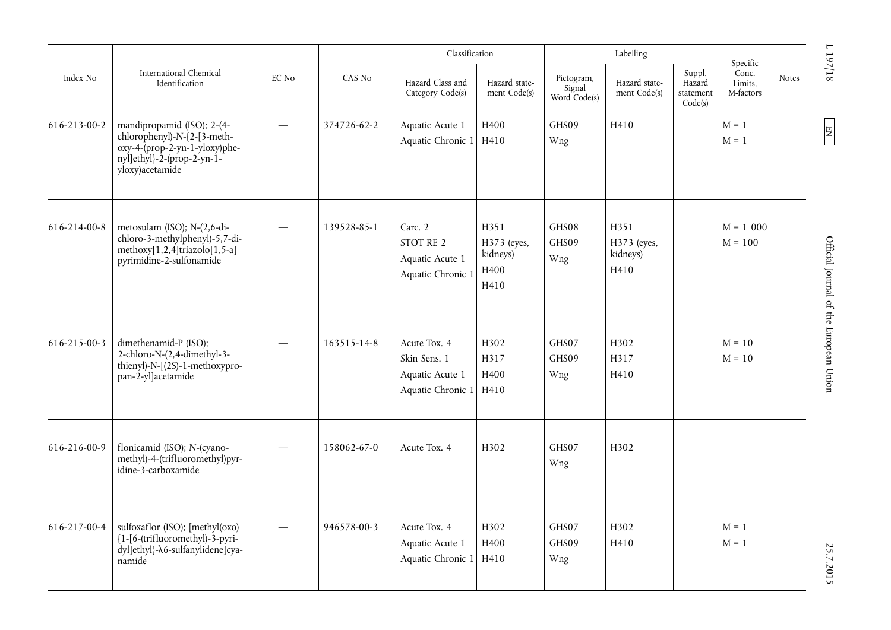|              |                                                                                                                                                |       |             | Classification                                                       |                                                 |                                        | Labelling                               |                                          |                                           |       |                                        |
|--------------|------------------------------------------------------------------------------------------------------------------------------------------------|-------|-------------|----------------------------------------------------------------------|-------------------------------------------------|----------------------------------------|-----------------------------------------|------------------------------------------|-------------------------------------------|-------|----------------------------------------|
| Index No     | International Chemical<br>Identification                                                                                                       | EC No | CAS No      | Hazard Class and<br>Category Code(s)                                 | Hazard state-<br>ment Code(s)                   | Pictogram,<br>Signal<br>Word $Code(s)$ | Hazard state-<br>ment Code(s)           | Suppl.<br>Hazard<br>statement<br>Code(s) | Specific<br>Conc.<br>Limits,<br>M-factors | Notes | 197/18                                 |
| 616-213-00-2 | mandipropamid (ISO); 2-(4-<br>chlorophenyl)-N-{2-[3-meth-<br>oxy-4-(prop-2-yn-1-yloxy)phe-<br>$ny$ l]ethyl}-2-(prop-2-yn-1-<br>yloxy)acetamide |       | 374726-62-2 | Aquatic Acute 1<br>Aquatic Chronic 1 H410                            | H400                                            | GHS09<br>Wng                           | H410                                    |                                          | $M = 1$<br>$M = 1$                        |       | 图                                      |
| 616-214-00-8 | metosulam (ISO); N-(2,6-di-<br>chloro-3-methylphenyl)-5,7-di-<br>methoxy[1,2,4]triazolo[1,5-a]<br>pyrimidine-2-sulfonamide                     |       | 139528-85-1 | Carc. 2<br>STOT RE 2<br>Aquatic Acute 1<br>Aquatic Chronic 1         | H351<br>H373 (eyes,<br>kidneys)<br>H400<br>H410 | GHS08<br>GHS09<br>Wng                  | H351<br>H373 (eyes,<br>kidneys)<br>H410 |                                          | $M = 1000$<br>$M = 100$                   |       |                                        |
| 616-215-00-3 | dimethenamid-P (ISO);<br>2-chloro-N-(2,4-dimethyl-3-<br>thienyl)-N- $(2S)$ -1-methoxypro-<br>pan-2-yl]acetamide                                |       | 163515-14-8 | Acute Tox. 4<br>Skin Sens. 1<br>Aquatic Acute 1<br>Aquatic Chronic 1 | H302<br>H317<br>H400<br>H410                    | GHS07<br>GHS09<br>Wng                  | H302<br>H317<br>H410                    |                                          | $M = 10$<br>$M = 10$                      |       | Official Journal of the European Union |
| 616-216-00-9 | flonicamid (ISO); N-(cyano-<br>methyl)-4-(trifluoromethyl)pyr-<br>idine-3-carboxamide                                                          |       | 158062-67-0 | Acute Tox. 4                                                         | H302                                            | GHS07<br>Wng                           | H302                                    |                                          |                                           |       |                                        |
| 616-217-00-4 | sulfoxaflor (ISO); [methyl(oxo)<br>{1-[6-(trifluoromethyl)-3-pyri-<br>dyl]ethyl}- $\lambda$ 6-sulfanylidene]cya-<br>namide                     |       | 946578-00-3 | Acute Tox. 4<br>Aquatic Acute 1<br>Aquatic Chronic 1                 | H302<br>H400<br>H410                            | GHS07<br>GHS09<br>Wng                  | H302<br>H410                            |                                          | $M = 1$<br>$M = 1$                        |       | 25.7.2015                              |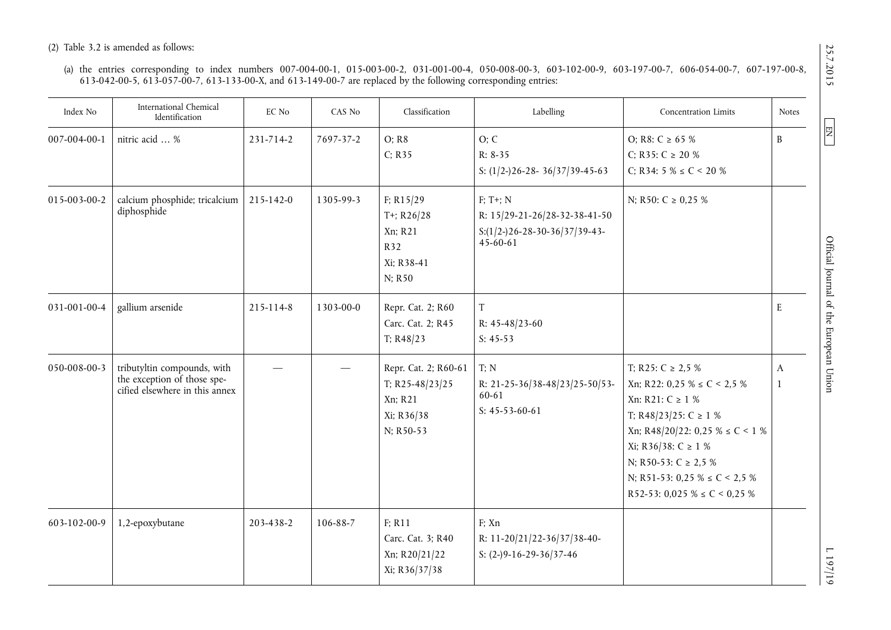(a) the entries corresponding to index numbers 007-004-00-1, 015-003-00-2, 031-001-00-4, 050-008-00-3, 603-102-00-9, 603-197-00-7, 606-054-00-7, 607-197-00-8, 613-042-00-5, 613-057-00-7, 613-133-00-X, and 613-149-00-7 are replaced by the following corresponding entries:

| Index No     | International Chemical<br>Identification                                                     | EC No     | CAS No    | Classification                                                                | Labelling                                                                                   | Concentration Limits                                                                                                                                                                                                                                                               | <b>Notes</b> |
|--------------|----------------------------------------------------------------------------------------------|-----------|-----------|-------------------------------------------------------------------------------|---------------------------------------------------------------------------------------------|------------------------------------------------------------------------------------------------------------------------------------------------------------------------------------------------------------------------------------------------------------------------------------|--------------|
| 007-004-00-1 | nitric acid  %                                                                               | 231-714-2 | 7697-37-2 | O; R8<br>C; R35                                                               | O; C<br>$R: 8-35$<br>S: $(1/2-)26-28-36/37/39-45-63$                                        | O; R8: C $\geq 65$ %<br>C; R35: C $\geq$ 20 %<br>C; R34: 5 % $\leq$ C < 20 %                                                                                                                                                                                                       | B            |
| 015-003-00-2 | calcium phosphide; tricalcium<br>diphosphide                                                 | 215-142-0 | 1305-99-3 | F: R15/29<br>T+; $R26/28$<br>Xn; R21<br>R32<br>Xi; R38-41<br>N; R50           | $F$ ; T+; N<br>R: 15/29-21-26/28-32-38-41-50<br>$S:(1/2-)26-28-30-36/37/39-43-$<br>45-60-61 | N; R50: C $\geq$ 0,25 %                                                                                                                                                                                                                                                            |              |
| 031-001-00-4 | gallium arsenide                                                                             | 215-114-8 | 1303-00-0 | Repr. Cat. 2; R60<br>Carc. Cat. 2; R45<br>T; R48/23                           | T<br>R: $45-48/23-60$<br>$S: 45-53$                                                         |                                                                                                                                                                                                                                                                                    | E            |
| 050-008-00-3 | tributyltin compounds, with<br>the exception of those spe-<br>cified elsewhere in this annex |           |           | Repr. Cat. 2; R60-61<br>T; R25-48/23/25<br>Xn; R21<br>Xi; R36/38<br>N; R50-53 | T; N<br>R: 21-25-36/38-48/23/25-50/53-<br>60-61<br>S: $45-53-60-61$                         | T; R25: $C \ge 2.5 \%$<br>Xn; R22: 0,25 % $\leq C$ < 2,5 %<br>Xn: R21: C ≥ 1 %<br>T; R48/23/25: C $\geq$ 1 %<br>Xn; R48/20/22: 0,25 % $\leq C$ < 1 %<br>Xi; R36/38: C ≥ 1 %<br>N; R50-53: $C \ge 2.5$ %<br>N; R51-53: 0,25 % $\leq C$ < 2,5 %<br>R52-53: 0,025 $\% \le C < 0,25$ % | A<br>1       |
| 603-102-00-9 | 1,2-epoxybutane                                                                              | 203-438-2 | 106-88-7  | F; R11<br>Carc. Cat. 3; R40<br>Xn; R20/21/22<br>Xi; R36/37/38                 | F; Xn<br>R: 11-20/21/22-36/37/38-40-<br>S: $(2-)9-16-29-36/37-46$                           |                                                                                                                                                                                                                                                                                    |              |

# 25.7.2015

 $\boxed{\text{NE}}$ 

 $61/2617$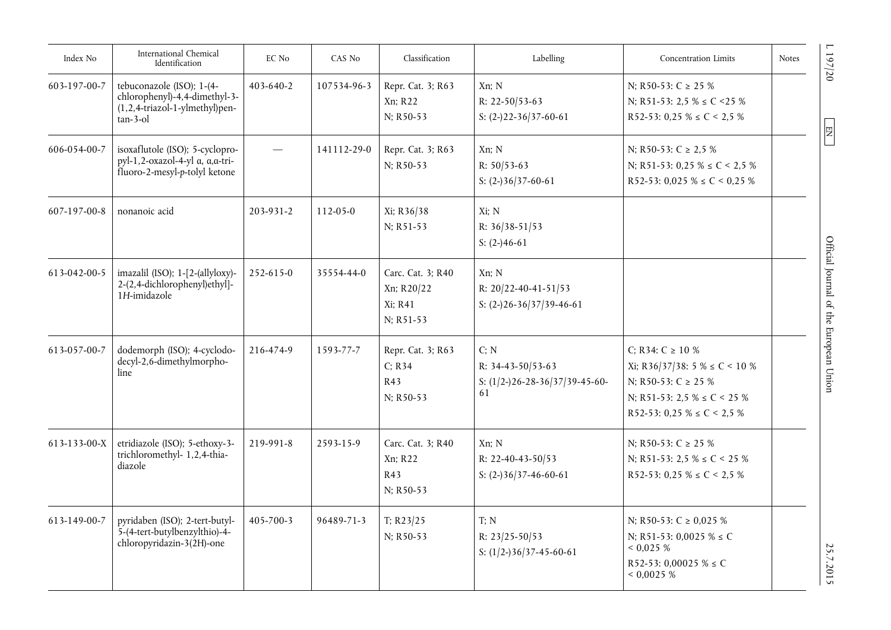| Index No     | International Chemical<br>Identification                                                                 | EC No     | CAS No      | Classification                                          | Labelling                                                           | <b>Concentration Limits</b>                                                                                                                                    | <b>Notes</b> |
|--------------|----------------------------------------------------------------------------------------------------------|-----------|-------------|---------------------------------------------------------|---------------------------------------------------------------------|----------------------------------------------------------------------------------------------------------------------------------------------------------------|--------------|
| 603-197-00-7 | tebuconazole (ISO); 1-(4-<br>chlorophenyl)-4,4-dimethyl-3-<br>(1,2,4-triazol-1-ylmethyl)pen-<br>tan-3-ol | 403-640-2 | 107534-96-3 | Repr. Cat. 3; R63<br>Xn; R22<br>N; R50-53               | Xn; N<br>R: $22-50/53-63$<br>S: $(2-)22-36/37-60-61$                | N; R50-53: C $\geq$ 25 %<br>N; R51-53: 2,5 % $\leq$ C <25 %<br>R52-53: 0,25 % $\leq C$ < 2,5 %                                                                 |              |
| 606-054-00-7 | isoxaflutole (ISO); 5-cyclopro-<br>pyl-1,2-oxazol-4-yl α, α, α-tri-<br>fluoro-2-mesyl-p-tolyl ketone     |           | 141112-29-0 | Repr. Cat. 3; R63<br>N; R50-53                          | Xn; N<br>R: $50/53-63$<br>S: $(2-)36/37-60-61$                      | N; R50-53: $C \ge 2.5$ %<br>N; R51-53: 0,25 % $\leq C$ < 2,5 %<br>R52-53: 0,025 % $\leq C$ < 0,25 %                                                            |              |
| 607-197-00-8 | nonanoic acid                                                                                            | 203-931-2 | 112-05-0    | Xi; R36/38<br>N; R51-53                                 | Xi; N<br>R: $36/38 - 51/53$<br>S: $(2-)46-61$                       |                                                                                                                                                                |              |
| 613-042-00-5 | imazalil (ISO); 1-[2-(allyloxy)-<br>2-(2,4-dichlorophenyl)ethyl]-<br>1H-imidazole                        | 252-615-0 | 35554-44-0  | Carc. Cat. 3; R40<br>Xn; R20/22<br>Xi; R41<br>N; R51-53 | Xn; N<br>R: $20/22 - 40 - 41 - 51/53$<br>S: $(2-)26-36/37/39-46-61$ |                                                                                                                                                                |              |
| 613-057-00-7 | dodemorph (ISO); 4-cyclodo-<br>decyl-2,6-dimethylmorpho-<br>line                                         | 216-474-9 | 1593-77-7   | Repr. Cat. 3; R63<br>C; R34<br>R43<br>N; R50-53         | C; N<br>R: 34-43-50/53-63<br>S: $(1/2-)26-28-36/37/39-45-60-$<br>61 | C; R34: $C \ge 10 \%$<br>Xi; R36/37/38: 5 % $\leq C$ < 10 %<br>N; R50-53: C $\geq$ 25 %<br>N; R51-53: 2,5 % $\leq$ C < 25 %<br>R52-53: 0,25 % $\leq$ C < 2,5 % |              |
| 613-133-00-X | etridiazole (ISO); 5-ethoxy-3-<br>trichloromethyl- 1,2,4-thia-<br>diazole                                | 219-991-8 | 2593-15-9   | Carc. Cat. 3; R40<br>Xn; R22<br>R43<br>N; R50-53        | Xn; N<br>R: 22-40-43-50/53<br>S: $(2-)36/37-46-60-61$               | N; R50-53: $C \ge 25\%$<br>N; R51-53: 2,5 % $\leq$ C < 25 %<br>R52-53: 0,25 % $\leq C$ < 2,5 %                                                                 |              |
| 613-149-00-7 | pyridaben (ISO); 2-tert-butyl-<br>5-(4-tert-butylbenzylthio)-4-<br>chloropyridazin-3(2H)-one             | 405-700-3 | 96489-71-3  | T; $R23/25$<br>N; R50-53                                | T; N<br>R: $23/25 - 50/53$<br>S: $(1/2-)36/37-45-60-61$             | N; R50-53: C $\geq$ 0,025 %<br>N; R51-53: 0,0025 % $\leq$ C<br>0,025%<br>R52-53: 0,00025 % $\leq$ C<br>0,0025%                                                 |              |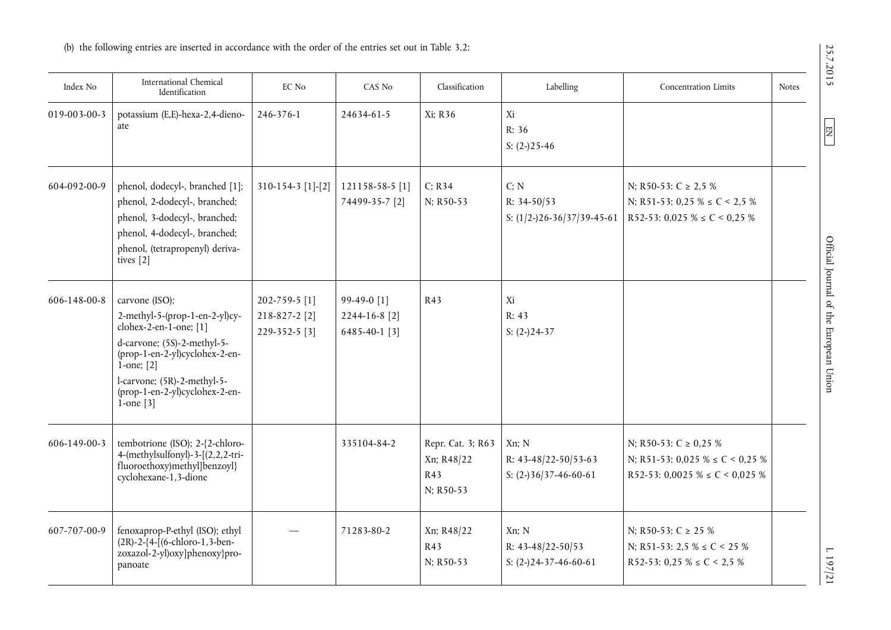| Index No     | International Chemical<br>Identification                                                                                                                                                                                                           | EC No                                                | CAS No                                        | Classification                                      | Labelling                                                  | <b>Concentration Limits</b>                                                                              | <b>Notes</b> |
|--------------|----------------------------------------------------------------------------------------------------------------------------------------------------------------------------------------------------------------------------------------------------|------------------------------------------------------|-----------------------------------------------|-----------------------------------------------------|------------------------------------------------------------|----------------------------------------------------------------------------------------------------------|--------------|
| 019-003-00-3 | potassium (E,E)-hexa-2,4-dieno-<br>ate                                                                                                                                                                                                             | 246-376-1                                            | 24634-61-5                                    | Xi; R36                                             | Xi<br>R: 36<br>S: $(2-)25-46$                              |                                                                                                          |              |
| 604-092-00-9 | phenol, dodecyl-, branched [1];<br>phenol, 2-dodecyl-, branched;<br>phenol, 3-dodecyl-, branched;<br>phenol, 4-dodecyl-, branched;<br>phenol, (tetrapropenyl) deriva-<br>tives $[2]$                                                               | 310-154-3 [1]-[2]                                    | 121158-58-5 [1]<br>74499-35-7 [2]             | C; R34<br>N; R50-53                                 | C; N<br>R: 34-50/53<br>S: $(1/2-)26-36/37/39-45-61$        | N; R50-53: $C \ge 2.5$ %<br>N; R51-53: 0,25 % $\leq C$ < 2,5 %<br>R52-53: 0,025 % $\leq C$ < 0,25 %      |              |
| 606-148-00-8 | carvone (ISO);<br>$2$ -methyl-5-(prop-1-en-2-yl)cy-<br>clohex-2-en-1-one; [1]<br>d-carvone; (5S)-2-methyl-5-<br>(prop-1-en-2-yl)cyclohex-2-en-<br>$1$ -one; $[2]$<br>l-carvone; (5R)-2-methyl-5-<br>(prop-1-en-2-yl)cyclohex-2-en-<br>$1$ -one [3] | 202-759-5 [1]<br>$218 - 827 - 2[2]$<br>229-352-5 [3] | 99-49-0 [1]<br>2244-16-8 [2]<br>6485-40-1 [3] | R43                                                 | Xi<br>R: 43<br>S: $(2-)24-37$                              |                                                                                                          |              |
| 606-149-00-3 | tembotrione (ISO); 2-{2-chloro-<br>4-(methylsulfonyl)-3-[(2,2,2-tri-<br>fluoroethoxy)methyl]benzoyl}<br>cyclohexane-1,3-dione                                                                                                                      |                                                      | 335104-84-2                                   | Repr. Cat. 3; R63<br>Xn; R48/22<br>R43<br>N; R50-53 | Xn; N<br>R: $43-48/22-50/53-63$<br>S: $(2-)36/37-46-60-61$ | N; R50-53: $C \ge 0.25$ %<br>N; R51-53: 0,025 % $\leq C$ < 0,25 %<br>R52-53: 0,0025 % $\leq C$ < 0,025 % |              |
| 607-707-00-9 | fenoxaprop-P-ethyl (ISO); ethyl<br>$(2R) - 2 - \{4 - \left[ (6 - \text{chloro-1}, 3 - \text{ben-1}) \right]$<br>zoxazol-2-yl)oxy]phenoxy}pro-<br>panoate                                                                                           |                                                      | 71283-80-2                                    | Xn; R48/22<br>R43<br>N; R50-53                      | Xn; N<br>R: 43-48/22-50/53<br>S: $(2-)24-37-46-60-61$      | N: R50-53: C $\geq$ 25 %<br>N; R51-53: 2,5 % $\leq$ C < 25 %<br>R52-53: 0,25 % $\leq C$ < 2,5 %          |              |

25.7.2015

 $E$ 

 $1197/21$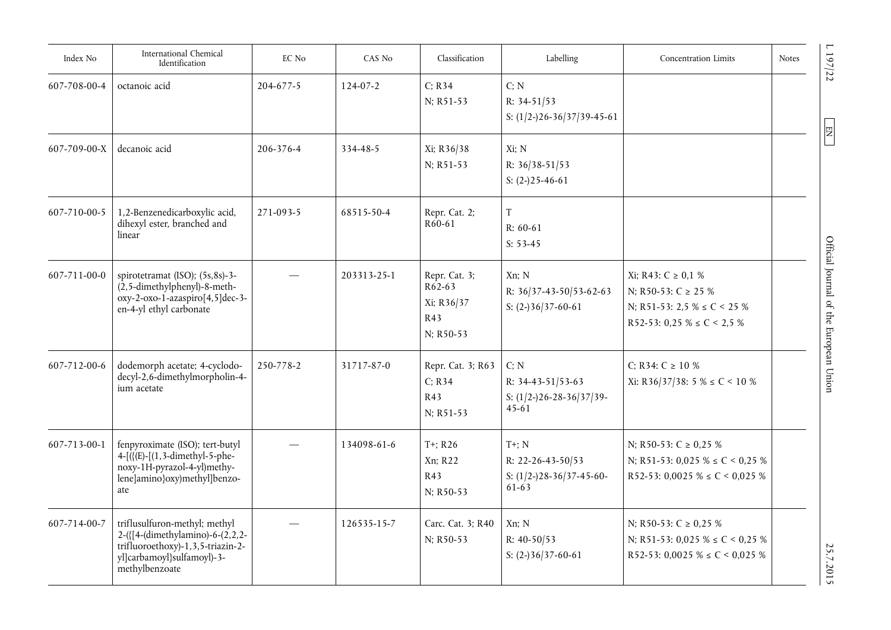| Index No     | International Chemical<br>Identification                                                                                                               | EC No     | CAS No         | Classification                                              | Labelling                                                                 | <b>Concentration Limits</b>                                                                                           | Notes |
|--------------|--------------------------------------------------------------------------------------------------------------------------------------------------------|-----------|----------------|-------------------------------------------------------------|---------------------------------------------------------------------------|-----------------------------------------------------------------------------------------------------------------------|-------|
| 607-708-00-4 | octanoic acid                                                                                                                                          | 204-677-5 | $124 - 07 - 2$ | C: R34<br>N; R51-53                                         | C; N<br>$R: 34-51/53$<br>S: $(1/2-)26-36/37/39-45-61$                     |                                                                                                                       |       |
| 607-709-00-X | decanoic acid                                                                                                                                          | 206-376-4 | 334-48-5       | Xi; R36/38<br>N; R51-53                                     | Xi: N<br>R: 36/38-51/53<br>S: $(2-)25-46-61$                              |                                                                                                                       |       |
| 607-710-00-5 | 1,2-Benzenedicarboxylic acid,<br>dihexyl ester, branched and<br>linear                                                                                 | 271-093-5 | 68515-50-4     | Repr. Cat. 2;<br>R <sub>60</sub> -61                        | $\mathbf T$<br>$R: 60-61$<br>$S: 53-45$                                   |                                                                                                                       |       |
| 607-711-00-0 | spirotetramat (ISO); (5s,8s)-3-<br>$(2, 5$ -dimethylphenyl)-8-meth-<br>oxy-2-oxo-1-azaspiro[4,5]dec-3-<br>en-4-yl ethyl carbonate                      |           | 203313-25-1    | Repr. Cat. 3;<br>$R62-63$<br>Xi; R36/37<br>R43<br>N; R50-53 | Xn: N<br>R: 36/37-43-50/53-62-63<br>S: $(2-)36/37-60-61$                  | Xi; R43: C ≥ 0,1 %<br>N: R50-53: C $\geq$ 25 %<br>N; R51-53: 2,5 % $\leq$ C < 25 %<br>R52-53: 0,25 % $\leq C$ < 2,5 % |       |
| 607-712-00-6 | dodemorph acetate; 4-cyclodo-<br>decyl-2,6-dimethylmorpholin-4-<br>ium acetate                                                                         | 250-778-2 | 31717-87-0     | Repr. Cat. 3; R63<br>C; R34<br>R43<br>N; R51-53             | C: N<br>R: 34-43-51/53-63<br>S: $(1/2-)26-28-36/37/39-$<br>$45 - 61$      | C: R34: $C \ge 10\%$<br>Xi: R36/37/38: 5 % $\leq C$ < 10 %                                                            |       |
| 607-713-00-1 | fenpyroximate (ISO); tert-butyl<br>$4-\lceil$ ({(E)-[(1,3-dimethyl-5-phe-<br>noxy-1H-pyrazol-4-yl)methy-<br>lene]amino}oxy)methyl]benzo-<br>ate        |           | 134098-61-6    | $T+; R26$<br>Xn; R22<br>R43<br>$N; R50-53$                  | $T^+$ ; N<br>R: 22-26-43-50/53<br>S: $(1/2-)28-36/37-45-60-$<br>$61 - 63$ | N; R50-53: C $\geq$ 0.25 %<br>N; R51-53: 0,025 % $\leq C$ < 0,25 %<br>R52-53: 0,0025 % $\leq C$ < 0,025 %             |       |
| 607-714-00-7 | triflusulfuron-methyl; methyl<br>2-({[4-(dimethylamino)-6-(2,2,2-<br>trifluoroethoxy)-1,3,5-triazin-2-<br>yl]carbamoyl}sulfamoyl)-3-<br>methylbenzoate |           | 126535-15-7    | Carc. Cat. 3; R40<br>N; R50-53                              | Xn; N<br>R: $40-50/53$<br>S: $(2-)36/37-60-61$                            | N; R50-53: C $\geq$ 0.25 %<br>N; R51-53: 0,025 % $\leq C$ < 0,25 %<br>R52-53: 0,0025 % $\leq C$ < 0,025 %             |       |